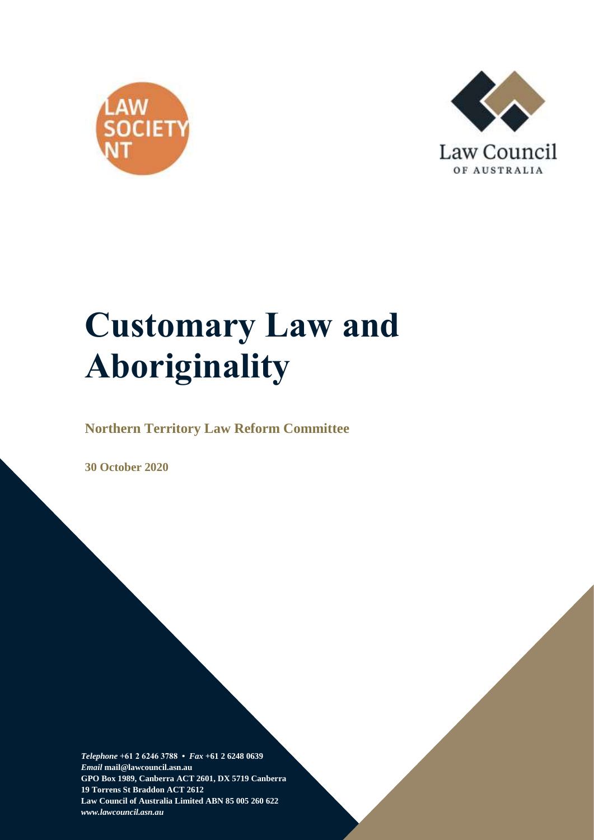



# **Customary Law and Aboriginality**

**Northern Territory Law Reform Committee**

**30 October 2020**

*Telephone* **+61 2 6246 3788 •** *Fax* **+61 2 6248 0639**  *Email* **mail@lawcouncil.asn.au GPO Box 1989, Canberra ACT 2601, DX 5719 Canberra 19 Torrens St Braddon ACT 2612 Law Council of Australia Limited ABN 85 005 260 622** *www.lawcouncil.asn.au*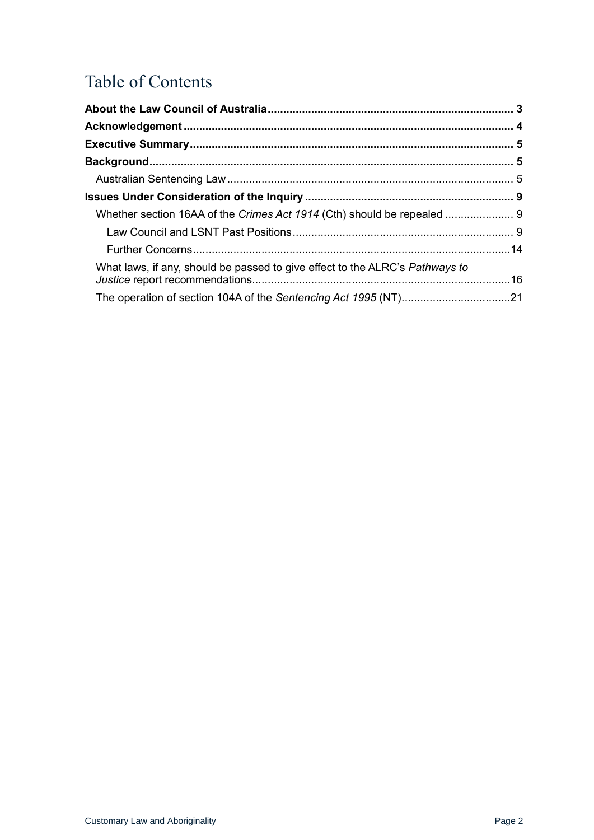# Table of Contents

| What laws, if any, should be passed to give effect to the ALRC's <i>Pathways to</i> |  |
|-------------------------------------------------------------------------------------|--|
|                                                                                     |  |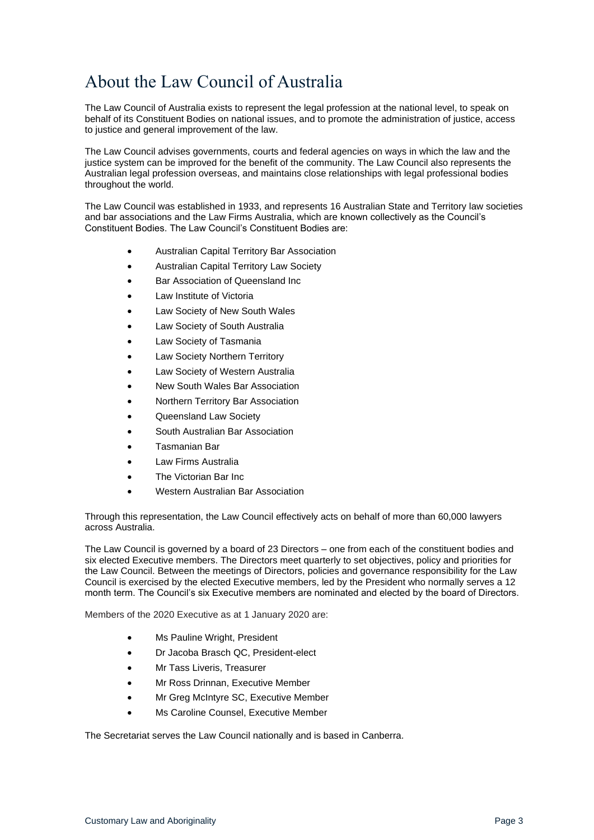# <span id="page-2-0"></span>About the Law Council of Australia

The Law Council of Australia exists to represent the legal profession at the national level, to speak on behalf of its Constituent Bodies on national issues, and to promote the administration of justice, access to justice and general improvement of the law.

The Law Council advises governments, courts and federal agencies on ways in which the law and the justice system can be improved for the benefit of the community. The Law Council also represents the Australian legal profession overseas, and maintains close relationships with legal professional bodies throughout the world.

The Law Council was established in 1933, and represents 16 Australian State and Territory law societies and bar associations and the Law Firms Australia, which are known collectively as the Council's Constituent Bodies. The Law Council's Constituent Bodies are:

- Australian Capital Territory Bar Association
- Australian Capital Territory Law Society
- Bar Association of Queensland Inc
- Law Institute of Victoria
- Law Society of New South Wales
- Law Society of South Australia
- Law Society of Tasmania
- Law Society Northern Territory
- Law Society of Western Australia
- New South Wales Bar Association
- Northern Territory Bar Association
- Queensland Law Society
- South Australian Bar Association
- Tasmanian Bar
- Law Firms Australia
- The Victorian Bar Inc
- Western Australian Bar Association

Through this representation, the Law Council effectively acts on behalf of more than 60,000 lawyers across Australia.

The Law Council is governed by a board of 23 Directors – one from each of the constituent bodies and six elected Executive members. The Directors meet quarterly to set objectives, policy and priorities for the Law Council. Between the meetings of Directors, policies and governance responsibility for the Law Council is exercised by the elected Executive members, led by the President who normally serves a 12 month term. The Council's six Executive members are nominated and elected by the board of Directors.

Members of the 2020 Executive as at 1 January 2020 are:

- Ms Pauline Wright, President
- Dr Jacoba Brasch QC, President-elect
- Mr Tass Liveris, Treasurer
- Mr Ross Drinnan, Executive Member
- Mr Greg McIntyre SC, Executive Member
- Ms Caroline Counsel, Executive Member

The Secretariat serves the Law Council nationally and is based in Canberra.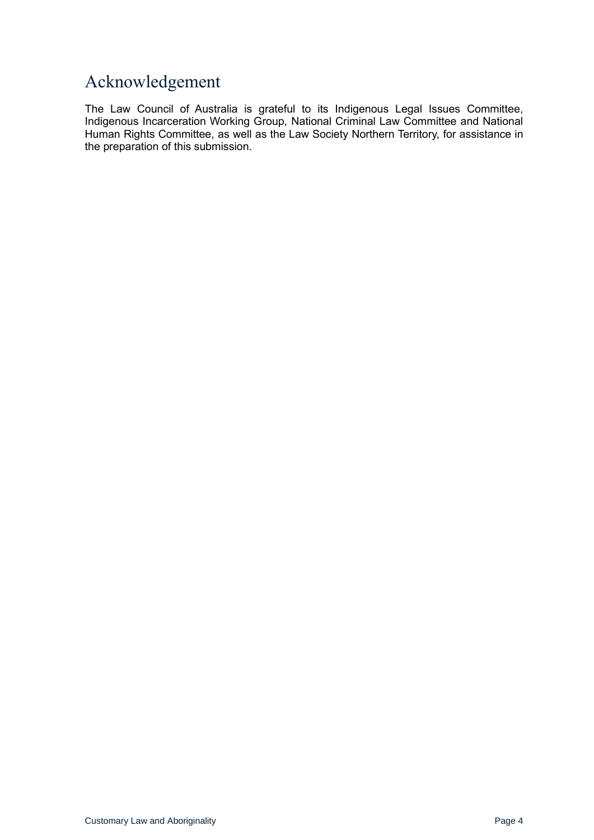## <span id="page-3-0"></span>Acknowledgement

The Law Council of Australia is grateful to its Indigenous Legal Issues Committee, Indigenous Incarceration Working Group, National Criminal Law Committee and National Human Rights Committee, as well as the Law Society Northern Territory, for assistance in the preparation of this submission.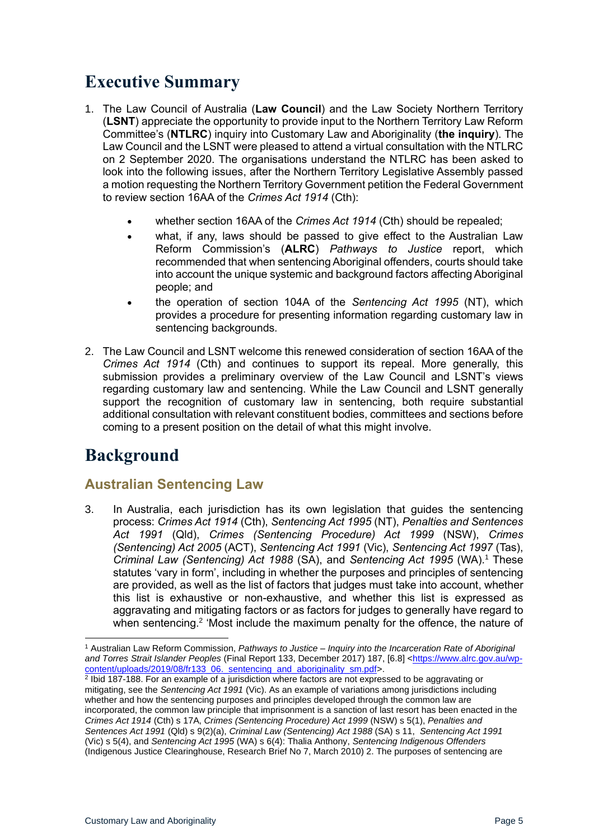## <span id="page-4-0"></span>**Executive Summary**

- 1. The Law Council of Australia (**Law Council**) and the Law Society Northern Territory (**LSNT**) appreciate the opportunity to provide input to the Northern Territory Law Reform Committee's (**NTLRC**) inquiry into Customary Law and Aboriginality (**the inquiry**). The Law Council and the LSNT were pleased to attend a virtual consultation with the NTLRC on 2 September 2020. The organisations understand the NTLRC has been asked to look into the following issues, after the Northern Territory Legislative Assembly passed a motion requesting the Northern Territory Government petition the Federal Government to review section 16AA of the *Crimes Act 1914* (Cth):
	- whether section 16AA of the *Crimes Act 1914* (Cth) should be repealed;
	- what, if any, laws should be passed to give effect to the Australian Law Reform Commission's (**ALRC**) *Pathways to Justice* report, which recommended that when sentencing Aboriginal offenders, courts should take into account the unique systemic and background factors affecting Aboriginal people; and
	- the operation of section 104A of the *Sentencing Act 1995* (NT), which provides a procedure for presenting information regarding customary law in sentencing backgrounds.
- 2. The Law Council and LSNT welcome this renewed consideration of section 16AA of the *Crimes Act 1914* (Cth) and continues to support its repeal. More generally, this submission provides a preliminary overview of the Law Council and LSNT's views regarding customary law and sentencing. While the Law Council and LSNT generally support the recognition of customary law in sentencing, both require substantial additional consultation with relevant constituent bodies, committees and sections before coming to a present position on the detail of what this might involve.

# <span id="page-4-1"></span>**Background**

## <span id="page-4-2"></span>**Australian Sentencing Law**

3. In Australia, each jurisdiction has its own legislation that guides the sentencing process: *Crimes Act 1914* (Cth), *Sentencing Act 1995* (NT), *Penalties and Sentences Act 1991* (Qld), *Crimes (Sentencing Procedure) Act 1999* (NSW), *Crimes (Sentencing) Act 2005* (ACT), *Sentencing Act 1991* (Vic), *Sentencing Act 1997* (Tas), *Criminal Law (Sentencing) Act 1988 (SA), and Sentencing Act 1995 (WA).<sup>1</sup> These* statutes 'vary in form', including in whether the purposes and principles of sentencing are provided, as well as the list of factors that judges must take into account, whether this list is exhaustive or non-exhaustive, and whether this list is expressed as aggravating and mitigating factors or as factors for judges to generally have regard to when sentencing.<sup>2</sup> 'Most include the maximum penalty for the offence, the nature of

<sup>1</sup> Australian Law Reform Commission, *Pathways to Justice – Inquiry into the Incarceration Rate of Aboriginal and Torres Strait Islander Peoples* (Final Report 133, December 2017) 187, [6.8] [<https://www.alrc.gov.au/wp](https://www.alrc.gov.au/wp-content/uploads/2019/08/fr133_06._sentencing_and_aboriginality_sm.pdf)[content/uploads/2019/08/fr133\\_06.\\_sentencing\\_and\\_aboriginality\\_sm.pdf>](https://www.alrc.gov.au/wp-content/uploads/2019/08/fr133_06._sentencing_and_aboriginality_sm.pdf).<br><sup>2</sup> Ibid 187-188. For an example of a jurisdiction where factors are not expressed to be aggravating or

mitigating, see the *Sentencing Act 1991* (Vic). As an example of variations among jurisdictions including whether and how the sentencing purposes and principles developed through the common law are incorporated, the common law principle that imprisonment is a sanction of last resort has been enacted in the *Crimes Act 1914* (Cth) s 17A, *Crimes (Sentencing Procedure) Act 1999* (NSW) s 5(1), *Penalties and Sentences Act 1991* (Qld) s 9(2)(a), *Criminal Law (Sentencing) Act 1988* (SA) s 11, *Sentencing Act 1991* (Vic) s 5(4), and *Sentencing Act 1995* (WA) s 6(4): Thalia Anthony, *Sentencing Indigenous Offenders*  (Indigenous Justice Clearinghouse, Research Brief No 7, March 2010) 2. The purposes of sentencing are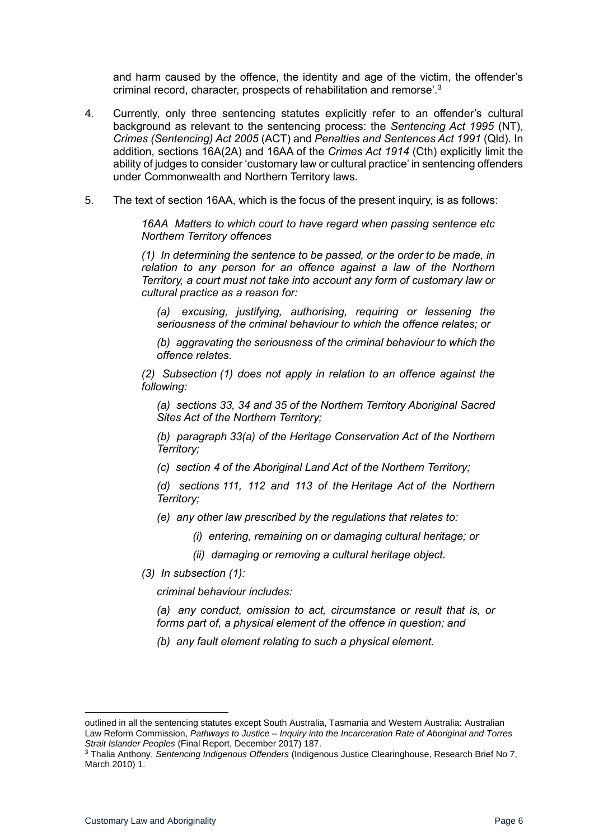and harm caused by the offence, the identity and age of the victim, the offender's criminal record, character, prospects of rehabilitation and remorse'.<sup>3</sup>

- 4. Currently, only three sentencing statutes explicitly refer to an offender's cultural background as relevant to the sentencing process: the *Sentencing Act 1995* (NT), *Crimes (Sentencing) Act 2005* (ACT) and *Penalties and Sentences Act 1991* (Qld). In addition, sections 16A(2A) and 16AA of the *Crimes Act 1914* (Cth) explicitly limit the ability of judges to consider 'customary law or cultural practice' in sentencing offenders under Commonwealth and Northern Territory laws.
- 5. The text of section 16AA, which is the focus of the present inquiry, is as follows:

*16AA Matters to which court to have regard when passing sentence etc Northern Territory offences*

*(1) In determining the sentence to be passed, or the order to be made, in relation to any person for an offence against a law of the Northern Territory, a court must not take into account any form of customary law or cultural practice as a reason for:*

*(a) excusing, justifying, authorising, requiring or lessening the seriousness of the criminal behaviour to which the offence relates; or*

*(b) aggravating the seriousness of the criminal behaviour to which the offence relates.*

*(2) Subsection (1) does not apply in relation to an offence against the following:*

*(a) sections 33, 34 and 35 of the Northern Territory Aboriginal Sacred Sites Act of the Northern Territory;*

*(b) paragraph 33(a) of the Heritage Conservation Act of the Northern Territory;*

*(c) section 4 of the Aboriginal Land Act of the Northern Territory;*

*(d) sections 111, 112 and 113 of the Heritage Act of the Northern Territory;*

- *(e) any other law prescribed by the regulations that relates to:*
	- *(i) entering, remaining on or damaging cultural heritage; or*
	- *(ii) damaging or removing a cultural heritage object.*
- *(3) In subsection (1):*

*criminal behaviour includes:*

*(a) any conduct, omission to act, circumstance or result that is, or forms part of, a physical element of the offence in question; and*

*(b) any fault element relating to such a physical element.*

outlined in all the sentencing statutes except South Australia, Tasmania and Western Australia: Australian Law Reform Commission, *Pathways to Justice – Inquiry into the Incarceration Rate of Aboriginal and Torres Strait Islander Peoples* (Final Report, December 2017) 187.

<sup>3</sup> Thalia Anthony, *Sentencing Indigenous Offenders* (Indigenous Justice Clearinghouse, Research Brief No 7, March 2010) 1.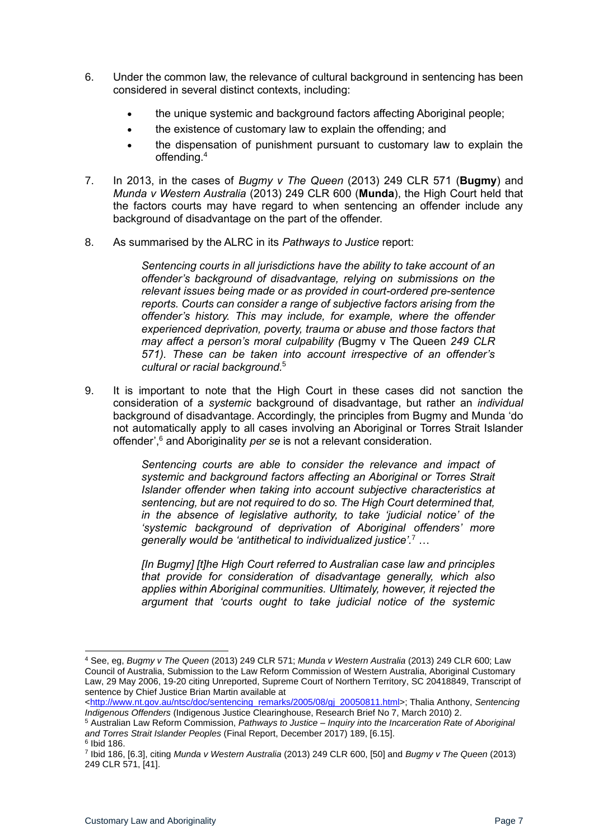- 6. Under the common law, the relevance of cultural background in sentencing has been considered in several distinct contexts, including:
	- the unique systemic and background factors affecting Aboriginal people;
	- the existence of customary law to explain the offending; and
	- the dispensation of punishment pursuant to customary law to explain the offending.<sup>4</sup>
- 7. In 2013, in the cases of *Bugmy v The Queen* (2013) 249 CLR 571 (**Bugmy**) and *Munda v Western Australia* (2013) 249 CLR 600 (**Munda**), the High Court held that the factors courts may have regard to when sentencing an offender include any background of disadvantage on the part of the offender.
- 8. As summarised by the ALRC in its *Pathways to Justice* report:

*Sentencing courts in all jurisdictions have the ability to take account of an offender's background of disadvantage, relying on submissions on the relevant issues being made or as provided in court-ordered pre-sentence reports. Courts can consider a range of subjective factors arising from the offender's history. This may include, for example, where the offender experienced deprivation, poverty, trauma or abuse and those factors that may affect a person's moral culpability (*Bugmy v The Queen *249 CLR 571). These can be taken into account irrespective of an offender's cultural or racial background.*<sup>5</sup>

9. It is important to note that the High Court in these cases did not sanction the consideration of a *systemic* background of disadvantage, but rather an *individual* background of disadvantage. Accordingly, the principles from Bugmy and Munda 'do not automatically apply to all cases involving an Aboriginal or Torres Strait Islander offender',<sup>6</sup> and Aboriginality *per se* is not a relevant consideration.

> *Sentencing courts are able to consider the relevance and impact of systemic and background factors affecting an Aboriginal or Torres Strait Islander offender when taking into account subjective characteristics at sentencing, but are not required to do so. The High Court determined that, in the absence of legislative authority, to take 'judicial notice' of the 'systemic background of deprivation of Aboriginal offenders' more generally would be 'antithetical to individualized justice'.*<sup>7</sup> …

> *[In Bugmy] [t]he High Court referred to Australian case law and principles that provide for consideration of disadvantage generally, which also applies within Aboriginal communities. Ultimately, however, it rejected the argument that 'courts ought to take judicial notice of the systemic*

[<http://www.nt.gov.au/ntsc/doc/sentencing\\_remarks/2005/08/gj\\_20050811.html>](http://www.nt.gov.au/ntsc/doc/sentencing_remarks/2005/08/gj_20050811.html); Thalia Anthony, *Sentencing Indigenous Offenders* (Indigenous Justice Clearinghouse, Research Brief No 7, March 2010) 2.

<sup>4</sup> See, eg, *Bugmy v The Queen* (2013) 249 CLR 571; *Munda v Western Australia* (2013) 249 CLR 600; Law Council of Australia, Submission to the Law Reform Commission of Western Australia, Aboriginal Customary Law, 29 May 2006, 19-20 citing Unreported, Supreme Court of Northern Territory, SC 20418849, Transcript of sentence by Chief Justice Brian Martin available at

<sup>5</sup> Australian Law Reform Commission, *Pathways to Justice – Inquiry into the Incarceration Rate of Aboriginal and Torres Strait Islander Peoples* (Final Report, December 2017) 189, [6.15].

<sup>6</sup> Ibid 186.

<sup>7</sup> Ibid 186, [6.3], citing *Munda v Western Australia* (2013) 249 CLR 600, [50] and *Bugmy v The Queen* (2013) 249 CLR 571, [41].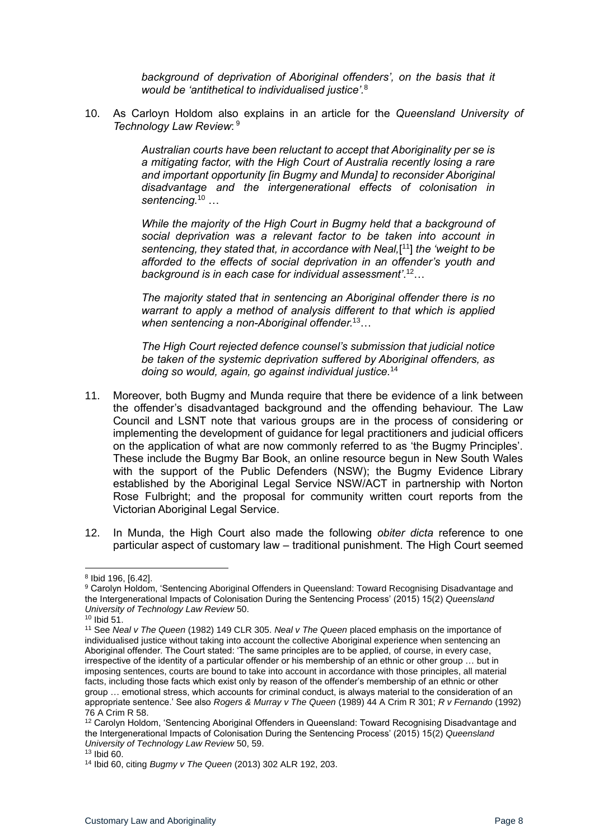background of deprivation of Aboriginal offenders', on the basis that it *would be 'antithetical to individualised justice'.*<sup>8</sup>

10. As Carloyn Holdom also explains in an article for the *Queensland University of Technology Law Review*: 9

> *Australian courts have been reluctant to accept that Aboriginality per se is a mitigating factor, with the High Court of Australia recently losing a rare and important opportunity [in Bugmy and Munda] to reconsider Aboriginal disadvantage and the intergenerational effects of colonisation in sentencing.*<sup>10</sup> …

> *While the majority of the High Court in Bugmy held that a background of social deprivation was a relevant factor to be taken into account in*  sentencing, they stated that, in accordance with Neal,[<sup>11</sup>] the 'weight to be *afforded to the effects of social deprivation in an offender's youth and background is in each case for individual assessment'*. <sup>12</sup>…

> *The majority stated that in sentencing an Aboriginal offender there is no warrant to apply a method of analysis different to that which is applied when sentencing a non-Aboriginal offender.*<sup>13</sup>…

> *The High Court rejected defence counsel's submission that judicial notice be taken of the systemic deprivation suffered by Aboriginal offenders, as doing so would, again, go against individual justice.*<sup>14</sup>

- 11. Moreover, both Bugmy and Munda require that there be evidence of a link between the offender's disadvantaged background and the offending behaviour. The Law Council and LSNT note that various groups are in the process of considering or implementing the development of guidance for legal practitioners and judicial officers on the application of what are now commonly referred to as 'the Bugmy Principles'. These include the Bugmy Bar Book, an online resource begun in New South Wales with the support of the Public Defenders (NSW); the Bugmy Evidence Library established by the Aboriginal Legal Service NSW/ACT in partnership with Norton Rose Fulbright; and the proposal for community written court reports from the Victorian Aboriginal Legal Service.
- 12. In Munda, the High Court also made the following *obiter dicta* reference to one particular aspect of customary law – traditional punishment. The High Court seemed

 $10$  Ibid  $51$ .

<sup>8</sup> Ibid 196, [6.42].

<sup>9</sup> Carolyn Holdom, 'Sentencing Aboriginal Offenders in Queensland: Toward Recognising Disadvantage and the Intergenerational Impacts of Colonisation During the Sentencing Process' (2015) 15(2) *Queensland University of Technology Law Review* 50.

<sup>11</sup> See *Neal v The Queen* (1982) 149 CLR 305. *Neal v The Queen* placed emphasis on the importance of individualised justice without taking into account the collective Aboriginal experience when sentencing an Aboriginal offender. The Court stated: 'The same principles are to be applied, of course, in every case, irrespective of the identity of a particular offender or his membership of an ethnic or other group … but in imposing sentences, courts are bound to take into account in accordance with those principles, all material facts, including those facts which exist only by reason of the offender's membership of an ethnic or other group … emotional stress, which accounts for criminal conduct, is always material to the consideration of an appropriate sentence.' See also *Rogers & Murray v The Queen* (1989) 44 A Crim R 301; *R v Fernando* (1992) 76 A Crim R 58.

<sup>12</sup> Carolyn Holdom, 'Sentencing Aboriginal Offenders in Queensland: Toward Recognising Disadvantage and the Intergenerational Impacts of Colonisation During the Sentencing Process' (2015) 15(2) *Queensland University of Technology Law Review* 50, 59.

 $13$  Ibid 60.

<sup>14</sup> Ibid 60, citing *Bugmy v The Queen* (2013) 302 ALR 192, 203.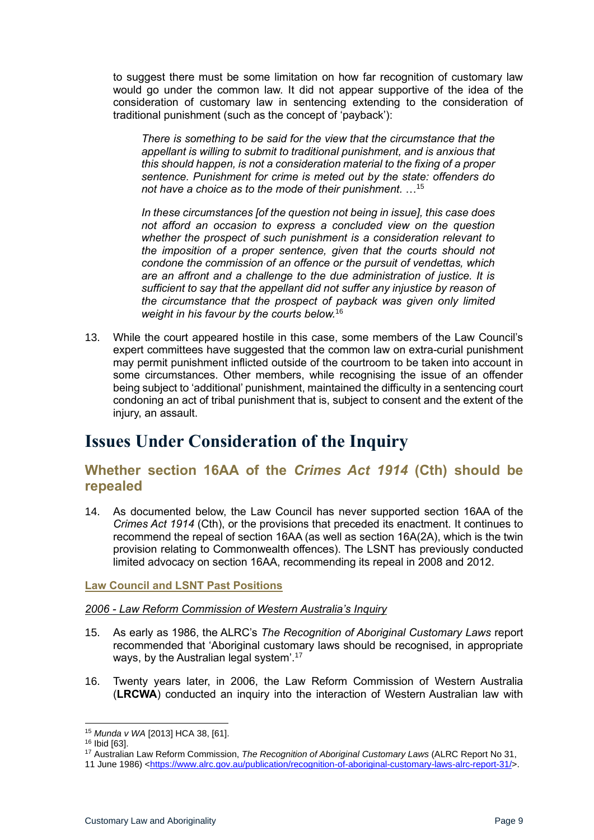to suggest there must be some limitation on how far recognition of customary law would go under the common law. It did not appear supportive of the idea of the consideration of customary law in sentencing extending to the consideration of traditional punishment (such as the concept of 'payback'):

*There is something to be said for the view that the circumstance that the appellant is willing to submit to traditional punishment, and is anxious that this should happen, is not a consideration material to the fixing of a proper sentence. Punishment for crime is meted out by the state: offenders do not have a choice as to the mode of their punishment.* …<sup>15</sup>

*In these circumstances [of the question not being in issue], this case does not afford an occasion to express a concluded view on the question whether the prospect of such punishment is a consideration relevant to the imposition of a proper sentence, given that the courts should not condone the commission of an offence or the pursuit of vendettas, which are an affront and a challenge to the due administration of justice. It is sufficient to say that the appellant did not suffer any injustice by reason of the circumstance that the prospect of payback was given only limited weight in his favour by the courts below.*<sup>16</sup>

13. While the court appeared hostile in this case, some members of the Law Council's expert committees have suggested that the common law on extra-curial punishment may permit punishment inflicted outside of the courtroom to be taken into account in some circumstances. Other members, while recognising the issue of an offender being subject to 'additional' punishment, maintained the difficulty in a sentencing court condoning an act of tribal punishment that is, subject to consent and the extent of the iniury, an assault.

## <span id="page-8-0"></span>**Issues Under Consideration of the Inquiry**

### <span id="page-8-1"></span>**Whether section 16AA of the** *Crimes Act 1914* **(Cth) should be repealed**

14. As documented below, the Law Council has never supported section 16AA of the *Crimes Act 1914* (Cth), or the provisions that preceded its enactment. It continues to recommend the repeal of section 16AA (as well as section 16A(2A), which is the twin provision relating to Commonwealth offences). The LSNT has previously conducted limited advocacy on section 16AA, recommending its repeal in 2008 and 2012.

#### <span id="page-8-2"></span>**Law Council and LSNT Past Positions**

#### *2006 - Law Reform Commission of Western Australia's Inquiry*

- 15. As early as 1986, the ALRC's *The Recognition of Aboriginal Customary Laws* report recommended that 'Aboriginal customary laws should be recognised, in appropriate ways, by the Australian legal system'.<sup>17</sup>
- 16. Twenty years later, in 2006, the Law Reform Commission of Western Australia (**LRCWA**) conducted an inquiry into the interaction of Western Australian law with

<sup>15</sup> *Munda v WA* [2013] HCA 38, [61].

<sup>16</sup> Ibid [63].

<sup>17</sup> Australian Law Reform Commission, *The Recognition of Aboriginal Customary Laws* (ALRC Report No 31,

<sup>11</sup> June 1986) [<https://www.alrc.gov.au/publication/recognition-of-aboriginal-customary-laws-alrc-report-31/>](https://www.alrc.gov.au/publication/recognition-of-aboriginal-customary-laws-alrc-report-31/).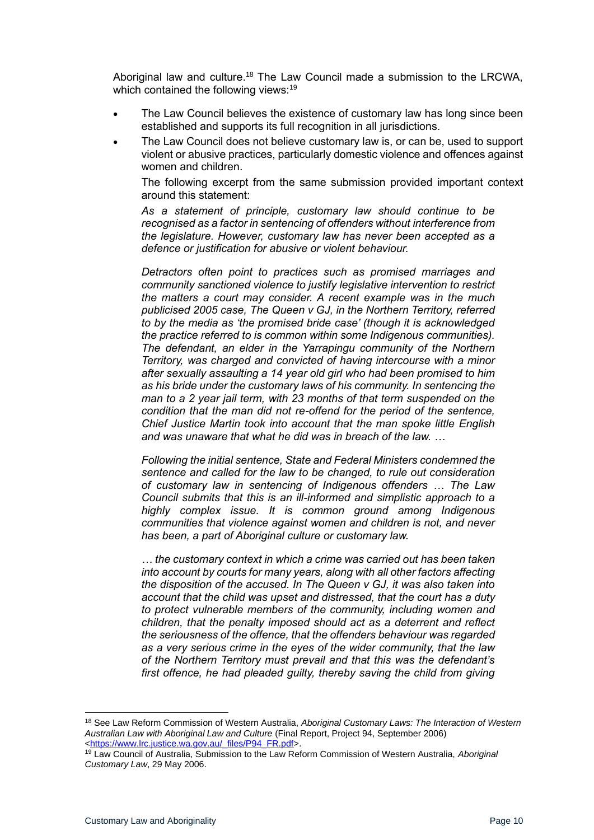Aboriginal law and culture.<sup>18</sup> The Law Council made a submission to the LRCWA, which contained the following views:<sup>19</sup>

- The Law Council believes the existence of customary law has long since been established and supports its full recognition in all jurisdictions.
- The Law Council does not believe customary law is, or can be, used to support violent or abusive practices, particularly domestic violence and offences against women and children.

The following excerpt from the same submission provided important context around this statement:

*As a statement of principle, customary law should continue to be recognised as a factor in sentencing of offenders without interference from the legislature. However, customary law has never been accepted as a defence or justification for abusive or violent behaviour.*

*Detractors often point to practices such as promised marriages and community sanctioned violence to justify legislative intervention to restrict the matters a court may consider. A recent example was in the much publicised 2005 case, The Queen v GJ, in the Northern Territory, referred to by the media as 'the promised bride case' (though it is acknowledged the practice referred to is common within some Indigenous communities). The defendant, an elder in the Yarrapingu community of the Northern Territory, was charged and convicted of having intercourse with a minor after sexually assaulting a 14 year old girl who had been promised to him as his bride under the customary laws of his community. In sentencing the man to a 2 year jail term, with 23 months of that term suspended on the condition that the man did not re-offend for the period of the sentence, Chief Justice Martin took into account that the man spoke little English and was unaware that what he did was in breach of the law. …* 

*Following the initial sentence, State and Federal Ministers condemned the sentence and called for the law to be changed, to rule out consideration of customary law in sentencing of Indigenous offenders … The Law Council submits that this is an ill-informed and simplistic approach to a highly complex issue. It is common ground among Indigenous communities that violence against women and children is not, and never has been, a part of Aboriginal culture or customary law.* 

*… the customary context in which a crime was carried out has been taken into account by courts for many years, along with all other factors affecting the disposition of the accused. In The Queen v GJ, it was also taken into account that the child was upset and distressed, that the court has a duty to protect vulnerable members of the community, including women and children, that the penalty imposed should act as a deterrent and reflect the seriousness of the offence, that the offenders behaviour was regarded as a very serious crime in the eyes of the wider community, that the law of the Northern Territory must prevail and that this was the defendant's first offence, he had pleaded guilty, thereby saving the child from giving* 

<sup>18</sup> See Law Reform Commission of Western Australia, *Aboriginal Customary Laws: The Interaction of Western Australian Law with Aboriginal Law and Culture* (Final Report, Project 94, September 2006) [<https://www.lrc.justice.wa.gov.au/\\_files/P94\\_FR.pdf>](https://www.lrc.justice.wa.gov.au/_files/P94_FR.pdf).

<sup>19</sup> Law Council of Australia, Submission to the Law Reform Commission of Western Australia, *Aboriginal Customary Law*, 29 May 2006.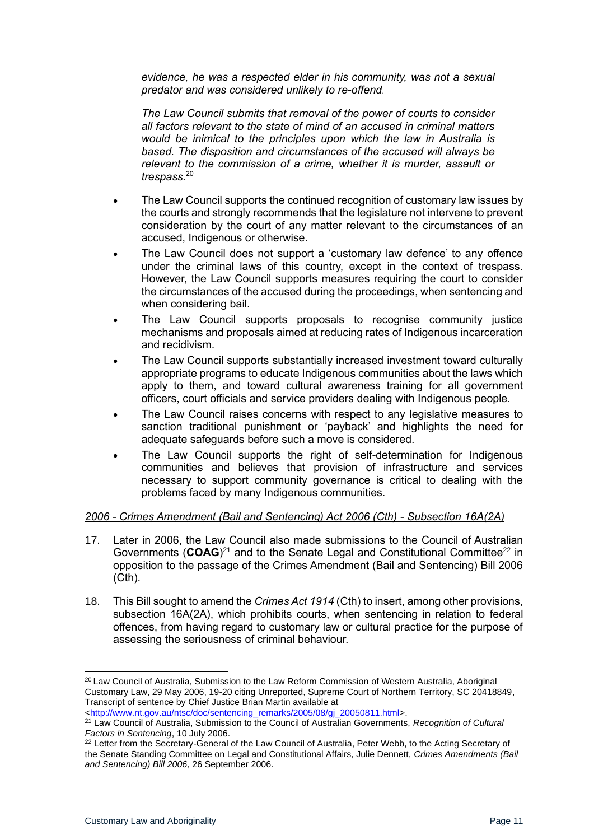*evidence, he was a respected elder in his community, was not a sexual predator and was considered unlikely to re-offend.*

*The Law Council submits that removal of the power of courts to consider all factors relevant to the state of mind of an accused in criminal matters would be inimical to the principles upon which the law in Australia is based. The disposition and circumstances of the accused will always be relevant to the commission of a crime, whether it is murder, assault or trespass.*<sup>20</sup>

- The Law Council supports the continued recognition of customary law issues by the courts and strongly recommends that the legislature not intervene to prevent consideration by the court of any matter relevant to the circumstances of an accused, Indigenous or otherwise.
- The Law Council does not support a 'customary law defence' to any offence under the criminal laws of this country, except in the context of trespass. However, the Law Council supports measures requiring the court to consider the circumstances of the accused during the proceedings, when sentencing and when considering bail.
- The Law Council supports proposals to recognise community justice mechanisms and proposals aimed at reducing rates of Indigenous incarceration and recidivism.
- The Law Council supports substantially increased investment toward culturally appropriate programs to educate Indigenous communities about the laws which apply to them, and toward cultural awareness training for all government officers, court officials and service providers dealing with Indigenous people.
- The Law Council raises concerns with respect to any legislative measures to sanction traditional punishment or 'payback' and highlights the need for adequate safeguards before such a move is considered.
- The Law Council supports the right of self-determination for Indigenous communities and believes that provision of infrastructure and services necessary to support community governance is critical to dealing with the problems faced by many Indigenous communities.

#### *2006 - Crimes Amendment (Bail and Sentencing) Act 2006 (Cth) - Subsection 16A(2A)*

- 17. Later in 2006, the Law Council also made submissions to the Council of Australian Governments (COAG)<sup>21</sup> and to the Senate Legal and Constitutional Committee<sup>22</sup> in opposition to the passage of the Crimes Amendment (Bail and Sentencing) Bill 2006 (Cth).
- 18. This Bill sought to amend the *Crimes Act 1914* (Cth) to insert, among other provisions, subsection 16A(2A), which prohibits courts, when sentencing in relation to federal offences, from having regard to customary law or cultural practice for the purpose of assessing the seriousness of criminal behaviour.

<sup>&</sup>lt;sup>20</sup> Law Council of Australia, Submission to the Law Reform Commission of Western Australia, Aboriginal Customary Law, 29 May 2006, 19-20 citing Unreported, Supreme Court of Northern Territory, SC 20418849, Transcript of sentence by Chief Justice Brian Martin available at

[<sup>&</sup>lt;http://www.nt.gov.au/ntsc/doc/sentencing\\_remarks/2005/08/gj\\_20050811.html>](http://www.nt.gov.au/ntsc/doc/sentencing_remarks/2005/08/gj_20050811.html).

<sup>21</sup> Law Council of Australia, Submission to the Council of Australian Governments, *Recognition of Cultural Factors in Sentencing*, 10 July 2006.

<sup>&</sup>lt;sup>22</sup> Letter from the Secretary-General of the Law Council of Australia, Peter Webb, to the Acting Secretary of the Senate Standing Committee on Legal and Constitutional Affairs, Julie Dennett, *Crimes Amendments (Bail and Sentencing) Bill 2006*, 26 September 2006.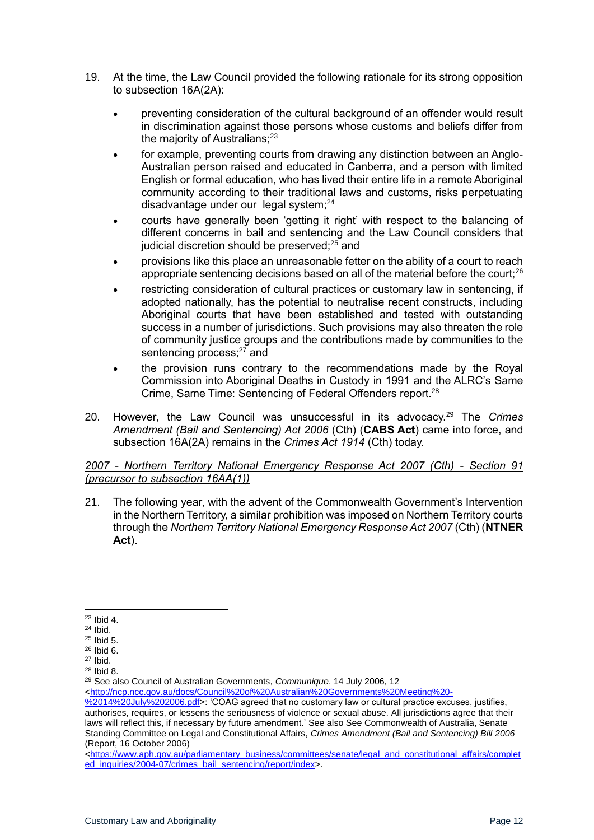- 19. At the time, the Law Council provided the following rationale for its strong opposition to subsection 16A(2A):
	- preventing consideration of the cultural background of an offender would result in discrimination against those persons whose customs and beliefs differ from the majority of Australians;<sup>23</sup>
	- for example, preventing courts from drawing any distinction between an Anglo-Australian person raised and educated in Canberra, and a person with limited English or formal education, who has lived their entire life in a remote Aboriginal community according to their traditional laws and customs, risks perpetuating disadvantage under our legal system; $^{24}$
	- courts have generally been 'getting it right' with respect to the balancing of different concerns in bail and sentencing and the Law Council considers that judicial discretion should be preserved;<sup>25</sup> and
	- provisions like this place an unreasonable fetter on the ability of a court to reach appropriate sentencing decisions based on all of the material before the court:<sup>26</sup>
	- restricting consideration of cultural practices or customary law in sentencing, if adopted nationally, has the potential to neutralise recent constructs, including Aboriginal courts that have been established and tested with outstanding success in a number of jurisdictions. Such provisions may also threaten the role of community justice groups and the contributions made by communities to the sentencing process;<sup>27</sup> and
	- the provision runs contrary to the recommendations made by the Royal Commission into Aboriginal Deaths in Custody in 1991 and the ALRC's Same Crime, Same Time: Sentencing of Federal Offenders report.<sup>28</sup>
- 20. However, the Law Council was unsuccessful in its advocacy.<sup>29</sup> The *Crimes Amendment (Bail and Sentencing) Act 2006* (Cth) (**CABS Act**) came into force, and subsection 16A(2A) remains in the *Crimes Act 1914* (Cth) today.

#### *2007 - Northern Territory National Emergency Response Act 2007 (Cth) - Section 91 (precursor to subsection 16AA(1))*

21. The following year, with the advent of the Commonwealth Government's Intervention in the Northern Territory, a similar prohibition was imposed on Northern Territory courts through the *Northern Territory National Emergency Response Act 2007* (Cth) (**NTNER Act**).

<sup>29</sup> See also Council of Australian Governments, *Communique*, 14 July 2006, 12 [<http://ncp.ncc.gov.au/docs/Council%20of%20Australian%20Governments%20Meeting%20-](http://ncp.ncc.gov.au/docs/Council%20of%20Australian%20Governments%20Meeting%20-%2014%20July%202006.pdf)

[%2014%20July%202006.pdf>](http://ncp.ncc.gov.au/docs/Council%20of%20Australian%20Governments%20Meeting%20-%2014%20July%202006.pdf): 'COAG agreed that no customary law or cultural practice excuses, justifies, authorises, requires, or lessens the seriousness of violence or sexual abuse. All jurisdictions agree that their laws will reflect this, if necessary by future amendment.' See also See Commonwealth of Australia, Senate Standing Committee on Legal and Constitutional Affairs, *Crimes Amendment (Bail and Sentencing) Bill 2006* (Report, 16 October 2006)

[<https://www.aph.gov.au/parliamentary\\_business/committees/senate/legal\\_and\\_constitutional\\_affairs/complet](https://www.aph.gov.au/parliamentary_business/committees/senate/legal_and_constitutional_affairs/completed_inquiries/2004-07/crimes_bail_sentencing/report/index) [ed\\_inquiries/2004-07/crimes\\_bail\\_sentencing/report/index>](https://www.aph.gov.au/parliamentary_business/committees/senate/legal_and_constitutional_affairs/completed_inquiries/2004-07/crimes_bail_sentencing/report/index).

<sup>23</sup> Ibid 4.

 $24$  Ibid.

<sup>25</sup> Ibid 5.

 $26$  Ibid 6. <sup>27</sup> Ibid.

<sup>28</sup> Ibid 8.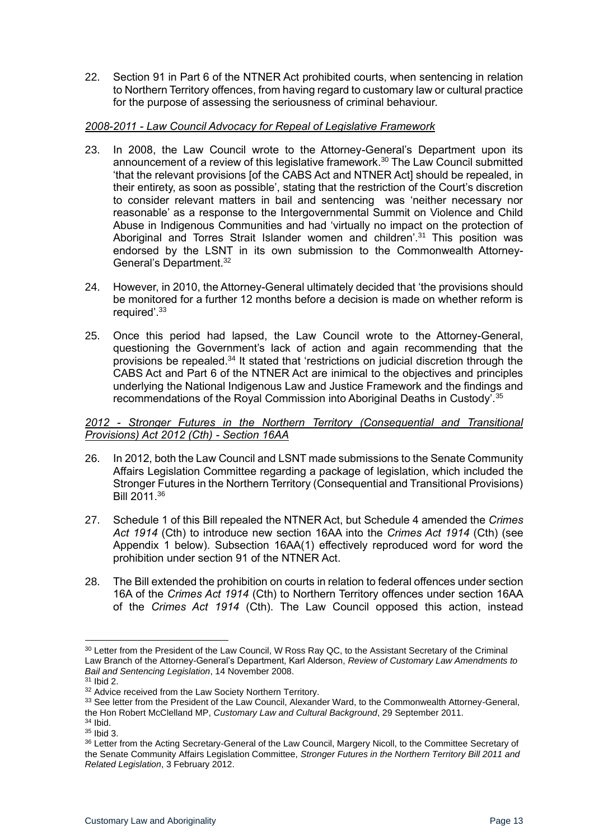22. Section 91 in Part 6 of the NTNER Act prohibited courts, when sentencing in relation to Northern Territory offences, from having regard to customary law or cultural practice for the purpose of assessing the seriousness of criminal behaviour.

#### *2008-2011 - Law Council Advocacy for Repeal of Legislative Framework*

- 23. In 2008, the Law Council wrote to the Attorney-General's Department upon its announcement of a review of this legislative framework. $30$  The Law Council submitted 'that the relevant provisions [of the CABS Act and NTNER Act] should be repealed, in their entirety, as soon as possible', stating that the restriction of the Court's discretion to consider relevant matters in bail and sentencing was 'neither necessary nor reasonable' as a response to the Intergovernmental Summit on Violence and Child Abuse in Indigenous Communities and had 'virtually no impact on the protection of Aboriginal and Torres Strait Islander women and children<sup>'31</sup> This position was endorsed by the LSNT in its own submission to the Commonwealth Attorney-General's Department.<sup>32</sup>
- 24. However, in 2010, the Attorney-General ultimately decided that 'the provisions should be monitored for a further 12 months before a decision is made on whether reform is required'.<sup>33</sup>
- 25. Once this period had lapsed, the Law Council wrote to the Attorney-General, questioning the Government's lack of action and again recommending that the provisions be repealed.<sup>34</sup> It stated that 'restrictions on judicial discretion through the CABS Act and Part 6 of the NTNER Act are inimical to the objectives and principles underlying the National Indigenous Law and Justice Framework and the findings and recommendations of the Royal Commission into Aboriginal Deaths in Custody'.<sup>35</sup>

#### *2012 - Stronger Futures in the Northern Territory (Consequential and Transitional Provisions) Act 2012 (Cth) - Section 16AA*

- 26. In 2012, both the Law Council and LSNT made submissions to the Senate Community Affairs Legislation Committee regarding a package of legislation, which included the Stronger Futures in the Northern Territory (Consequential and Transitional Provisions) Bill 2011.<sup>36</sup>
- 27. Schedule 1 of this Bill repealed the NTNER Act, but Schedule 4 amended the *Crimes Act 1914* (Cth) to introduce new section 16AA into the *Crimes Act 1914* (Cth) (see Appendix 1 below). Subsection 16AA(1) effectively reproduced word for word the prohibition under section 91 of the NTNER Act.
- 28. The Bill extended the prohibition on courts in relation to federal offences under section 16A of the *Crimes Act 1914* (Cth) to Northern Territory offences under section 16AA of the *Crimes Act 1914* (Cth). The Law Council opposed this action, instead

<sup>&</sup>lt;sup>30</sup> Letter from the President of the Law Council, W Ross Ray QC, to the Assistant Secretary of the Criminal Law Branch of the Attorney-General's Department, Karl Alderson, *Review of Customary Law Amendments to Bail and Sentencing Legislation*, 14 November 2008.

<sup>31</sup> Ibid 2.

<sup>&</sup>lt;sup>32</sup> Advice received from the Law Society Northern Territory.

<sup>33</sup> See letter from the President of the Law Council, Alexander Ward, to the Commonwealth Attorney-General, the Hon Robert McClelland MP, *Customary Law and Cultural Background*, 29 September 2011.

<sup>34</sup> Ibid.

<sup>35</sup> Ibid 3.

<sup>&</sup>lt;sup>36</sup> Letter from the Acting Secretary-General of the Law Council, Margery Nicoll, to the Committee Secretary of the Senate Community Affairs Legislation Committee, *Stronger Futures in the Northern Territory Bill 2011 and Related Legislation*, 3 February 2012.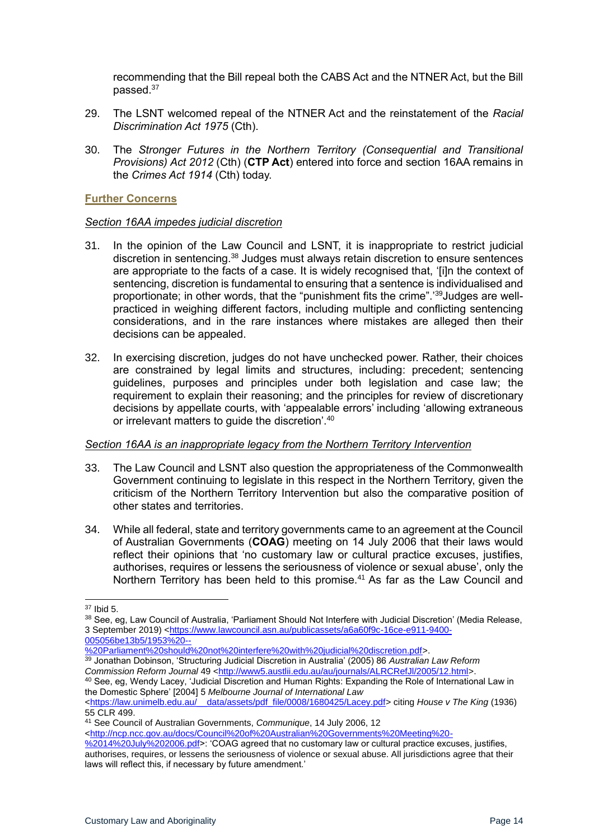recommending that the Bill repeal both the CABS Act and the NTNER Act, but the Bill passed.<sup>37</sup>

- 29. The LSNT welcomed repeal of the NTNER Act and the reinstatement of the *Racial Discrimination Act 1975* (Cth).
- 30. The *Stronger Futures in the Northern Territory (Consequential and Transitional Provisions) Act 2012* (Cth) (**CTP Act**) entered into force and section 16AA remains in the *Crimes Act 1914* (Cth) today.

#### <span id="page-13-0"></span>**Further Concerns**

#### *Section 16AA impedes judicial discretion*

- 31. In the opinion of the Law Council and LSNT, it is inappropriate to restrict judicial discretion in sentencing.<sup>38</sup> Judges must always retain discretion to ensure sentences are appropriate to the facts of a case. It is widely recognised that, '[i]n the context of sentencing, discretion is fundamental to ensuring that a sentence is individualised and proportionate; in other words, that the "punishment fits the crime".'39 Judges are wellpracticed in weighing different factors, including multiple and conflicting sentencing considerations, and in the rare instances where mistakes are alleged then their decisions can be appealed.
- 32. In exercising discretion, judges do not have unchecked power. Rather, their choices are constrained by legal limits and structures, including: precedent; sentencing guidelines, purposes and principles under both legislation and case law; the requirement to explain their reasoning; and the principles for review of discretionary decisions by appellate courts, with 'appealable errors' including 'allowing extraneous or irrelevant matters to guide the discretion'.<sup>40</sup>

#### *Section 16AA is an inappropriate legacy from the Northern Territory Intervention*

- 33. The Law Council and LSNT also question the appropriateness of the Commonwealth Government continuing to legislate in this respect in the Northern Territory, given the criticism of the Northern Territory Intervention but also the comparative position of other states and territories.
- 34. While all federal, state and territory governments came to an agreement at the Council of Australian Governments (**COAG**) meeting on 14 July 2006 that their laws would reflect their opinions that 'no customary law or cultural practice excuses, justifies, authorises, requires or lessens the seriousness of violence or sexual abuse', only the Northern Territory has been held to this promise.<sup>41</sup> As far as the Law Council and

[%20Parliament%20should%20not%20interfere%20with%20judicial%20discretion.pdf>](https://www.lawcouncil.asn.au/publicassets/a6a60f9c-16ce-e911-9400-005056be13b5/1953%20--%20Parliament%20should%20not%20interfere%20with%20judicial%20discretion.pdf).

- <sup>39</sup> Jonathan Dobinson, 'Structuring Judicial Discretion in Australia' (2005) 86 *Australian Law Reform Commission Reform Journal* 49 [<http://www5.austlii.edu.au/au/journals/ALRCRefJl/2005/12.html>](http://www5.austlii.edu.au/au/journals/ALRCRefJl/2005/12.html).
- 40 See, eg, Wendy Lacey, 'Judicial Discretion and Human Rights: Expanding the Role of International Law in the Domestic Sphere' [2004] 5 *Melbourne Journal of International Law*

<sup>41</sup> See Council of Australian Governments, *Communique*, 14 July 2006, 12

[<http://ncp.ncc.gov.au/docs/Council%20of%20Australian%20Governments%20Meeting%20-](http://ncp.ncc.gov.au/docs/Council%20of%20Australian%20Governments%20Meeting%20-%2014%20July%202006.pdf)

[%2014%20July%202006.pdf>](http://ncp.ncc.gov.au/docs/Council%20of%20Australian%20Governments%20Meeting%20-%2014%20July%202006.pdf): 'COAG agreed that no customary law or cultural practice excuses, justifies, authorises, requires, or lessens the seriousness of violence or sexual abuse. All jurisdictions agree that their laws will reflect this, if necessary by future amendment.'

<sup>37</sup> Ibid 5.

<sup>38</sup> See, eg, Law Council of Australia, 'Parliament Should Not Interfere with Judicial Discretion' (Media Release, 3 September 2019) [<https://www.lawcouncil.asn.au/publicassets/a6a60f9c-16ce-e911-9400-](https://www.lawcouncil.asn.au/publicassets/a6a60f9c-16ce-e911-9400-005056be13b5/1953%20--%20Parliament%20should%20not%20interfere%20with%20judicial%20discretion.pdf) [005056be13b5/1953%20--](https://www.lawcouncil.asn.au/publicassets/a6a60f9c-16ce-e911-9400-005056be13b5/1953%20--%20Parliament%20should%20not%20interfere%20with%20judicial%20discretion.pdf)

<sup>&</sup>lt;https://law.unimelb.edu.au/ data/assets/pdf file/0008/1680425/Lacey.pdf> citing *House v The King* (1936) 55 CLR 499.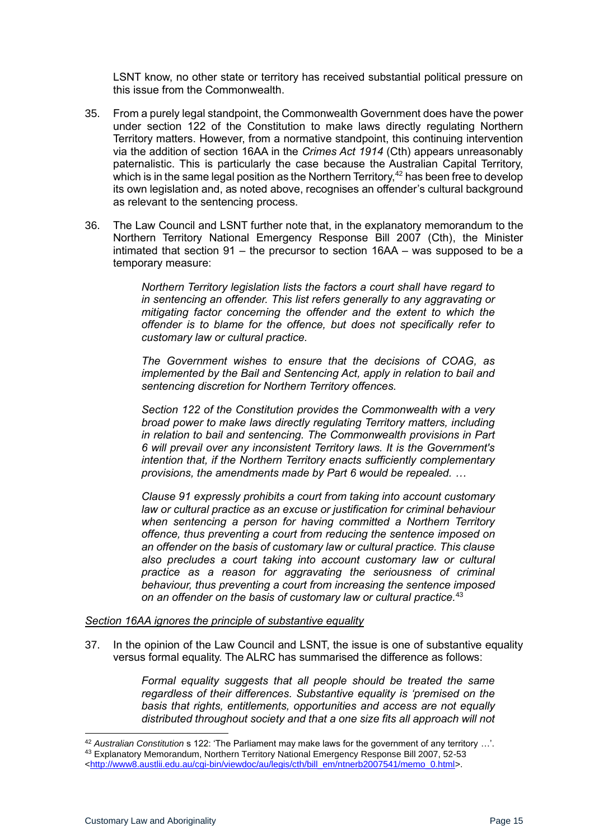LSNT know, no other state or territory has received substantial political pressure on this issue from the Commonwealth.

- 35. From a purely legal standpoint, the Commonwealth Government does have the power under section 122 of the Constitution to make laws directly regulating Northern Territory matters. However, from a normative standpoint, this continuing intervention via the addition of section 16AA in the *Crimes Act 1914* (Cth) appears unreasonably paternalistic. This is particularly the case because the Australian Capital Territory, which is in the same legal position as the Northern Territory, $42$  has been free to develop its own legislation and, as noted above, recognises an offender's cultural background as relevant to the sentencing process.
- 36. The Law Council and LSNT further note that, in the explanatory memorandum to the Northern Territory National Emergency Response Bill 2007 (Cth), the Minister intimated that section 91 – the precursor to section 16AA – was supposed to be a temporary measure:

*Northern Territory legislation lists the factors a court shall have regard to in sentencing an offender. This list refers generally to any aggravating or mitigating factor concerning the offender and the extent to which the offender is to blame for the offence, but does not specifically refer to customary law or cultural practice.*

*The Government wishes to ensure that the decisions of COAG, as implemented by the Bail and Sentencing Act, apply in relation to bail and sentencing discretion for Northern Territory offences.*

*Section 122 of the Constitution provides the Commonwealth with a very broad power to make laws directly regulating Territory matters, including in relation to bail and sentencing. The Commonwealth provisions in Part 6 will prevail over any inconsistent Territory laws. It is the Government's intention that, if the Northern Territory enacts sufficiently complementary provisions, the amendments made by Part 6 would be repealed. …*

*Clause 91 expressly prohibits a court from taking into account customary law or cultural practice as an excuse or justification for criminal behaviour when sentencing a person for having committed a Northern Territory offence, thus preventing a court from reducing the sentence imposed on an offender on the basis of customary law or cultural practice. This clause also precludes a court taking into account customary law or cultural practice as a reason for aggravating the seriousness of criminal behaviour, thus preventing a court from increasing the sentence imposed on an offender on the basis of customary law or cultural practice.*<sup>43</sup>

#### *Section 16AA ignores the principle of substantive equality*

37. In the opinion of the Law Council and LSNT, the issue is one of substantive equality versus formal equality. The ALRC has summarised the difference as follows:

> *Formal equality suggests that all people should be treated the same regardless of their differences. Substantive equality is 'premised on the basis that rights, entitlements, opportunities and access are not equally distributed throughout society and that a one size fits all approach will not*

<sup>42</sup> *Australian Constitution* s 122: 'The Parliament may make laws for the government of any territory …'.

<sup>43</sup> Explanatory Memorandum, Northern Territory National Emergency Response Bill 2007, 52-53

[<sup>&</sup>lt;http://www8.austlii.edu.au/cgi-bin/viewdoc/au/legis/cth/bill\\_em/ntnerb2007541/memo\\_0.html>](http://www8.austlii.edu.au/cgi-bin/viewdoc/au/legis/cth/bill_em/ntnerb2007541/memo_0.html).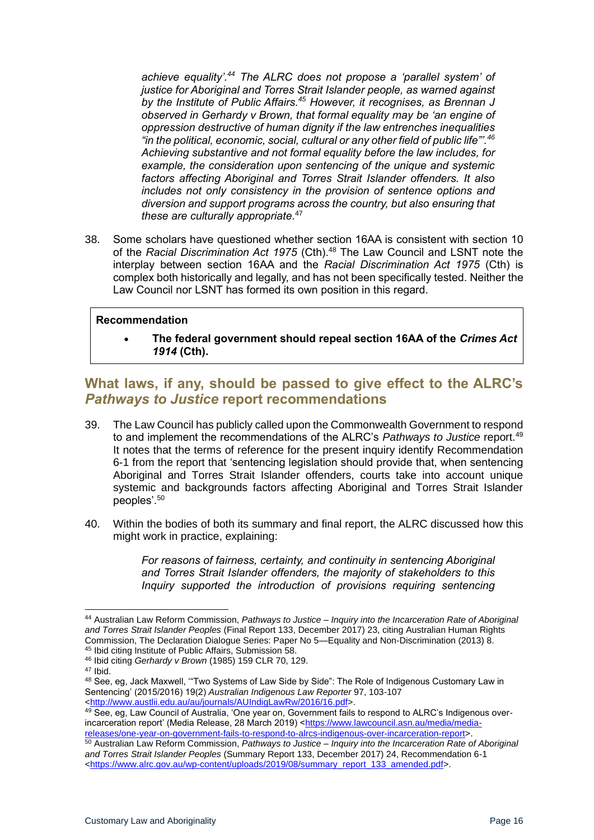*achieve equality'.<sup>44</sup> The ALRC does not propose a 'parallel system' of justice for Aboriginal and Torres Strait Islander people, as warned against by the Institute of Public Affairs.<sup>45</sup> However, it recognises, as Brennan J observed in Gerhardy v Brown, that formal equality may be 'an engine of oppression destructive of human dignity if the law entrenches inequalities "in the political, economic, social, cultural or any other field of public life"'.<sup>46</sup> Achieving substantive and not formal equality before the law includes, for example, the consideration upon sentencing of the unique and systemic factors affecting Aboriginal and Torres Strait Islander offenders. It also includes not only consistency in the provision of sentence options and diversion and support programs across the country, but also ensuring that these are culturally appropriate.*<sup>47</sup>

38. Some scholars have questioned whether section 16AA is consistent with section 10 of the *Racial Discrimination Act 1975* (Cth).<sup>48</sup> The Law Council and LSNT note the interplay between section 16AA and the *Racial Discrimination Act 1975* (Cth) is complex both historically and legally, and has not been specifically tested. Neither the Law Council nor LSNT has formed its own position in this regard.

#### **Recommendation**

• **The federal government should repeal section 16AA of the** *Crimes Act 1914* **(Cth).**

## <span id="page-15-0"></span>**What laws, if any, should be passed to give effect to the ALRC's**  *Pathways to Justice* **report recommendations**

- 39. The Law Council has publicly called upon the Commonwealth Government to respond to and implement the recommendations of the ALRC's *Pathways to Justice* report.<sup>49</sup> It notes that the terms of reference for the present inquiry identify Recommendation 6-1 from the report that 'sentencing legislation should provide that, when sentencing Aboriginal and Torres Strait Islander offenders, courts take into account unique systemic and backgrounds factors affecting Aboriginal and Torres Strait Islander peoples'.<sup>50</sup>
- 40. Within the bodies of both its summary and final report, the ALRC discussed how this might work in practice, explaining:

*For reasons of fairness, certainty, and continuity in sentencing Aboriginal and Torres Strait Islander offenders, the majority of stakeholders to this Inquiry supported the introduction of provisions requiring sentencing* 

<sup>47</sup> Ibid.

<sup>44</sup> Australian Law Reform Commission, *Pathways to Justice – Inquiry into the Incarceration Rate of Aboriginal and Torres Strait Islander Peoples* (Final Report 133, December 2017) 23, citing Australian Human Rights Commission, The Declaration Dialogue Series: Paper No 5—Equality and Non-Discrimination (2013) 8. <sup>45</sup> Ibid citing Institute of Public Affairs, Submission 58.

<sup>46</sup> Ibid citing *Gerhardy v Brown* (1985) 159 CLR 70, 129.

<sup>48</sup> See, eg, Jack Maxwell, "Two Systems of Law Side by Side": The Role of Indigenous Customary Law in Sentencing' (2015/2016) 19(2) *Australian Indigenous Law Reporter* 97, 103-107 [<http://www.austlii.edu.au/au/journals/AUIndigLawRw/2016/16.pdf>](http://www.austlii.edu.au/au/journals/AUIndigLawRw/2016/16.pdf).

<sup>49</sup> See, eg, Law Council of Australia, 'One year on, Government fails to respond to ALRC's Indigenous over-incarceration report' (Media Release, 28 March 2019) [<https://www.lawcouncil.asn.au/media/media](https://www.lawcouncil.asn.au/media/media-releases/one-year-on-government-fails-to-respond-to-alrcs-indigenous-over-incarceration-report)[releases/one-year-on-government-fails-to-respond-to-alrcs-indigenous-over-incarceration-report>](https://www.lawcouncil.asn.au/media/media-releases/one-year-on-government-fails-to-respond-to-alrcs-indigenous-over-incarceration-report).

<sup>50</sup> Australian Law Reform Commission, *Pathways to Justice – Inquiry into the Incarceration Rate of Aboriginal and Torres Strait Islander Peoples* (Summary Report 133, December 2017) 24, Recommendation 6-1 [<https://www.alrc.gov.au/wp-content/uploads/2019/08/summary\\_report\\_133\\_amended.pdf>](https://www.alrc.gov.au/wp-content/uploads/2019/08/summary_report_133_amended.pdf).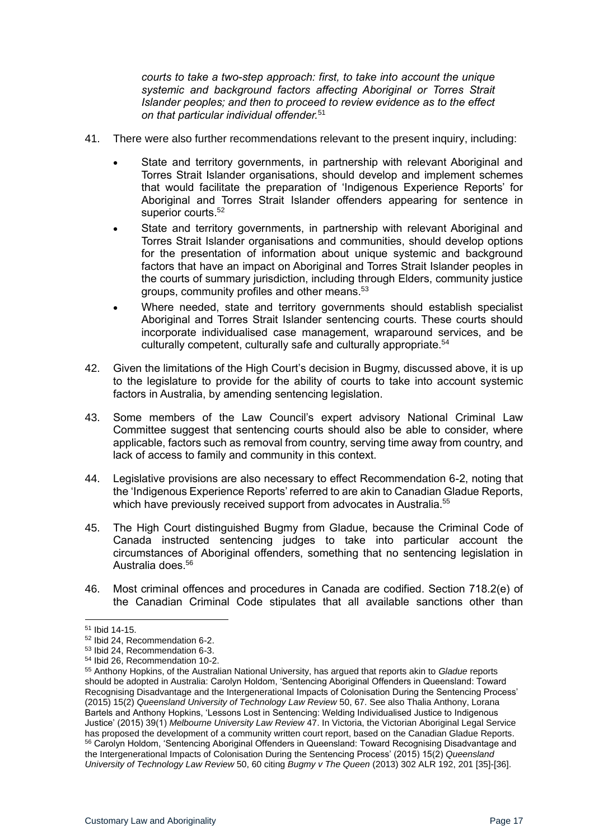*courts to take a two-step approach: first, to take into account the unique systemic and background factors affecting Aboriginal or Torres Strait Islander peoples; and then to proceed to review evidence as to the effect on that particular individual offender.*<sup>51</sup>

- 41. There were also further recommendations relevant to the present inquiry, including:
	- State and territory governments, in partnership with relevant Aboriginal and Torres Strait Islander organisations, should develop and implement schemes that would facilitate the preparation of 'Indigenous Experience Reports' for Aboriginal and Torres Strait Islander offenders appearing for sentence in superior courts.<sup>52</sup>
	- State and territory governments, in partnership with relevant Aboriginal and Torres Strait Islander organisations and communities, should develop options for the presentation of information about unique systemic and background factors that have an impact on Aboriginal and Torres Strait Islander peoples in the courts of summary jurisdiction, including through Elders, community justice groups, community profiles and other means.<sup>53</sup>
	- Where needed, state and territory governments should establish specialist Aboriginal and Torres Strait Islander sentencing courts. These courts should incorporate individualised case management, wraparound services, and be culturally competent, culturally safe and culturally appropriate.<sup>54</sup>
- 42. Given the limitations of the High Court's decision in Bugmy, discussed above, it is up to the legislature to provide for the ability of courts to take into account systemic factors in Australia, by amending sentencing legislation.
- 43. Some members of the Law Council's expert advisory National Criminal Law Committee suggest that sentencing courts should also be able to consider, where applicable, factors such as removal from country, serving time away from country, and lack of access to family and community in this context.
- 44. Legislative provisions are also necessary to effect Recommendation 6-2, noting that the 'Indigenous Experience Reports' referred to are akin to Canadian Gladue Reports, which have previously received support from advocates in Australia.<sup>55</sup>
- 45. The High Court distinguished Bugmy from Gladue, because the Criminal Code of Canada instructed sentencing judges to take into particular account the circumstances of Aboriginal offenders, something that no sentencing legislation in Australia does <sup>56</sup>
- 46. Most criminal offences and procedures in Canada are codified. Section 718.2(e) of the Canadian Criminal Code stipulates that all available sanctions other than

<sup>51</sup> Ibid 14-15.

<sup>52</sup> Ibid 24, Recommendation 6-2.

<sup>53</sup> Ibid 24, Recommendation 6-3.

<sup>54</sup> Ibid 26, Recommendation 10-2.

<sup>55</sup> Anthony Hopkins, of the Australian National University, has argued that reports akin to *Gladue* reports should be adopted in Australia: Carolyn Holdom, 'Sentencing Aboriginal Offenders in Queensland: Toward Recognising Disadvantage and the Intergenerational Impacts of Colonisation During the Sentencing Process' (2015) 15(2) *Queensland University of Technology Law Review* 50, 67. See also Thalia Anthony, Lorana Bartels and Anthony Hopkins, 'Lessons Lost in Sentencing: Welding Individualised Justice to Indigenous Justice' (2015) 39(1) *Melbourne University Law Review* 47. In Victoria, the Victorian Aboriginal Legal Service has proposed the development of a community written court report, based on the Canadian Gladue Reports. 56 Carolyn Holdom, 'Sentencing Aboriginal Offenders in Queensland: Toward Recognising Disadvantage and the Intergenerational Impacts of Colonisation During the Sentencing Process' (2015) 15(2) *Queensland University of Technology Law Review* 50, 60 citing *Bugmy v The Queen* (2013) 302 ALR 192, 201 [35]-[36].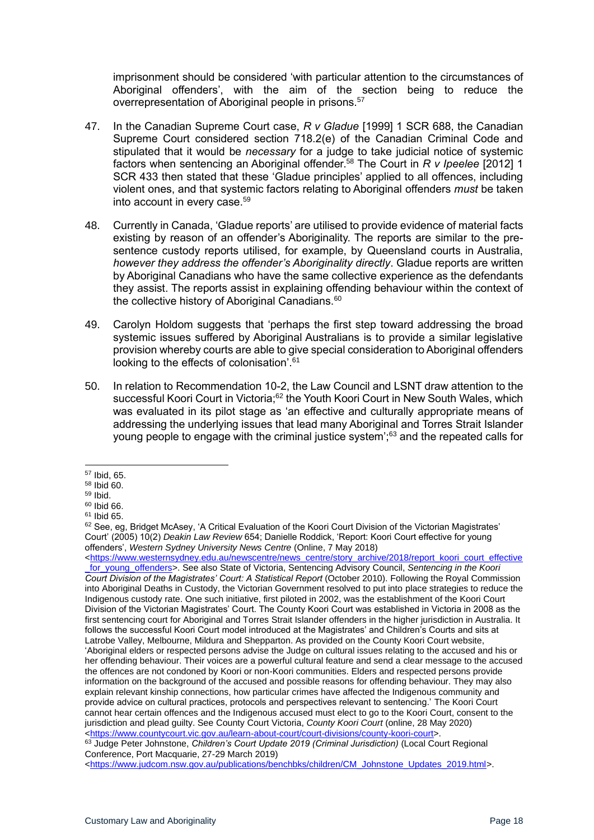imprisonment should be considered 'with particular attention to the circumstances of Aboriginal offenders', with the aim of the section being to reduce the overrepresentation of Aboriginal people in prisons.<sup>57</sup>

- 47. In the Canadian Supreme Court case, *R v Gladue* [1999] 1 SCR 688, the Canadian Supreme Court considered section 718.2(e) of the Canadian Criminal Code and stipulated that it would be *necessary* for a judge to take judicial notice of systemic factors when sentencing an Aboriginal offender. <sup>58</sup> The Court in *R v Ipeelee* [2012] 1 SCR 433 then stated that these 'Gladue principles' applied to all offences, including violent ones, and that systemic factors relating to Aboriginal offenders *must* be taken into account in every case.<sup>59</sup>
- 48. Currently in Canada, 'Gladue reports' are utilised to provide evidence of material facts existing by reason of an offender's Aboriginality. The reports are similar to the presentence custody reports utilised, for example, by Queensland courts in Australia, *however they address the offender's Aboriginality directly*. Gladue reports are written by Aboriginal Canadians who have the same collective experience as the defendants they assist. The reports assist in explaining offending behaviour within the context of the collective history of Aboriginal Canadians.<sup>60</sup>
- 49. Carolyn Holdom suggests that 'perhaps the first step toward addressing the broad systemic issues suffered by Aboriginal Australians is to provide a similar legislative provision whereby courts are able to give special consideration to Aboriginal offenders looking to the effects of colonisation'.<sup>61</sup>
- 50. In relation to Recommendation 10-2, the Law Council and LSNT draw attention to the successful Koori Court in Victoria;<sup>62</sup> the Youth Koori Court in New South Wales, which was evaluated in its pilot stage as 'an effective and culturally appropriate means of addressing the underlying issues that lead many Aboriginal and Torres Strait Islander young people to engage with the criminal justice system<sup>', 63</sup> and the repeated calls for

[<https://www.westernsydney.edu.au/newscentre/news\\_centre/story\\_archive/2018/report\\_koori\\_court\\_effective](https://www.westernsydney.edu.au/newscentre/news_centre/story_archive/2018/report_koori_court_effective_for_young_offenders) [\\_for\\_young\\_offenders>](https://www.westernsydney.edu.au/newscentre/news_centre/story_archive/2018/report_koori_court_effective_for_young_offenders). See also State of Victoria, Sentencing Advisory Council, *Sentencing in the Koori Court Division of the Magistrates' Court: A Statistical Report* (October 2010). Following the Royal Commission into Aboriginal Deaths in Custody, the Victorian Government resolved to put into place strategies to reduce the Indigenous custody rate. One such initiative, first piloted in 2002, was the establishment of the Koori Court Division of the Victorian Magistrates' Court. The County Koori Court was established in Victoria in 2008 as the first sentencing court for Aboriginal and Torres Strait Islander offenders in the higher jurisdiction in Australia. It follows the successful Koori Court model introduced at the Magistrates' and Children's Courts and sits at Latrobe Valley, Melbourne, Mildura and Shepparton. As provided on the County Koori Court website, 'Aboriginal elders or respected persons advise the Judge on cultural issues relating to the accused and his or her offending behaviour. Their voices are a powerful cultural feature and send a clear message to the accused the offences are not condoned by Koori or non-Koori communities. Elders and respected persons provide information on the background of the accused and possible reasons for offending behaviour. They may also explain relevant kinship connections, how particular crimes have affected the Indigenous community and provide advice on cultural practices, protocols and perspectives relevant to sentencing.' The Koori Court cannot hear certain offences and the Indigenous accused must elect to go to the Koori Court, consent to the jurisdiction and plead guilty. See County Court Victoria, *County Koori Court* (online, 28 May 2020) [<https://www.countycourt.vic.gov.au/learn-about-court/court-divisions/county-koori-court>](https://www.countycourt.vic.gov.au/learn-about-court/court-divisions/county-koori-court).

#### <sup>63</sup> Judge Peter Johnstone, *Children's Court Update 2019 (Criminal Jurisdiction)* (Local Court Regional Conference, Port Macquarie, 27-29 March 2019)

<sup>57</sup> Ibid, 65.

<sup>58</sup> Ibid 60.

<sup>59</sup> Ibid.

<sup>60</sup> Ibid 66. <sup>61</sup> Ibid 65.

 $62$  See, eq, Bridget McAsey, 'A Critical Evaluation of the Koori Court Division of the Victorian Magistrates' Court' (2005) 10(2) *Deakin Law Review* 654; Danielle Roddick, 'Report: Koori Court effective for young offenders', *Western Sydney University News Centre* (Online, 7 May 2018)

[<sup>&</sup>lt;https://www.judcom.nsw.gov.au/publications/benchbks/children/CM\\_Johnstone\\_Updates\\_2019.html>](https://www.judcom.nsw.gov.au/publications/benchbks/children/CM_Johnstone_Updates_2019.html).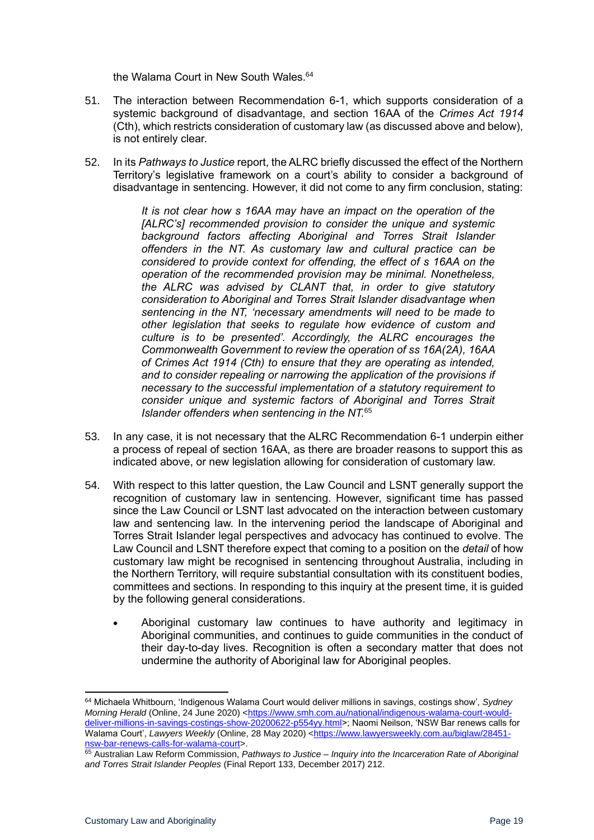the Walama Court in New South Wales.<sup>64</sup>

- 51. The interaction between Recommendation 6-1, which supports consideration of a systemic background of disadvantage, and section 16AA of the *Crimes Act 1914* (Cth), which restricts consideration of customary law (as discussed above and below), is not entirely clear.
- 52. In its *Pathways to Justice* report, the ALRC briefly discussed the effect of the Northern Territory's legislative framework on a court's ability to consider a background of disadvantage in sentencing. However, it did not come to any firm conclusion, stating:

*It is not clear how s 16AA may have an impact on the operation of the [ALRC's] recommended provision to consider the unique and systemic background factors affecting Aboriginal and Torres Strait Islander offenders in the NT. As customary law and cultural practice can be considered to provide context for offending, the effect of s 16AA on the operation of the recommended provision may be minimal. Nonetheless, the ALRC was advised by CLANT that, in order to give statutory consideration to Aboriginal and Torres Strait Islander disadvantage when sentencing in the NT, 'necessary amendments will need to be made to other legislation that seeks to regulate how evidence of custom and culture is to be presented'. Accordingly, the ALRC encourages the Commonwealth Government to review the operation of ss 16A(2A), 16AA of Crimes Act 1914 (Cth) to ensure that they are operating as intended, and to consider repealing or narrowing the application of the provisions if necessary to the successful implementation of a statutory requirement to consider unique and systemic factors of Aboriginal and Torres Strait Islander offenders when sentencing in the NT.*<sup>65</sup>

- 53. In any case, it is not necessary that the ALRC Recommendation 6-1 underpin either a process of repeal of section 16AA, as there are broader reasons to support this as indicated above, or new legislation allowing for consideration of customary law.
- 54. With respect to this latter question, the Law Council and LSNT generally support the recognition of customary law in sentencing. However, significant time has passed since the Law Council or LSNT last advocated on the interaction between customary law and sentencing law. In the intervening period the landscape of Aboriginal and Torres Strait Islander legal perspectives and advocacy has continued to evolve. The Law Council and LSNT therefore expect that coming to a position on the *detail* of how customary law might be recognised in sentencing throughout Australia, including in the Northern Territory, will require substantial consultation with its constituent bodies, committees and sections. In responding to this inquiry at the present time, it is guided by the following general considerations.
	- Aboriginal customary law continues to have authority and legitimacy in Aboriginal communities, and continues to guide communities in the conduct of their day-to-day lives. Recognition is often a secondary matter that does not undermine the authority of Aboriginal law for Aboriginal peoples.

<sup>64</sup> Michaela Whitbourn, 'Indigenous Walama Court would deliver millions in savings, costings show', *Sydney Morning Herald* (Online, 24 June 2020) [<https://www.smh.com.au/national/indigenous-walama-court-would](https://www.smh.com.au/national/indigenous-walama-court-would-deliver-millions-in-savings-costings-show-20200622-p554yy.html)[deliver-millions-in-savings-costings-show-20200622-p554yy.html>](https://www.smh.com.au/national/indigenous-walama-court-would-deliver-millions-in-savings-costings-show-20200622-p554yy.html); Naomi Neilson, 'NSW Bar renews calls for Walama Court', *Lawyers Weekly* (Online, 28 May 2020) [<https://www.lawyersweekly.com.au/biglaw/28451](https://www.lawyersweekly.com.au/biglaw/28451-nsw-bar-renews-calls-for-walama-court) [nsw-bar-renews-calls-for-walama-court>](https://www.lawyersweekly.com.au/biglaw/28451-nsw-bar-renews-calls-for-walama-court).

<sup>65</sup> Australian Law Reform Commission, *Pathways to Justice – Inquiry into the Incarceration Rate of Aboriginal and Torres Strait Islander Peoples* (Final Report 133, December 2017) 212.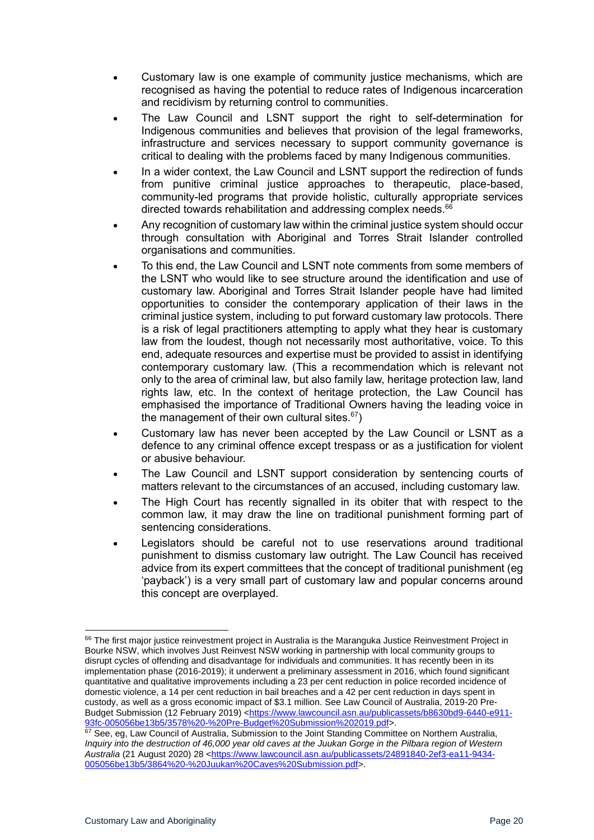- Customary law is one example of community justice mechanisms, which are recognised as having the potential to reduce rates of Indigenous incarceration and recidivism by returning control to communities.
- The Law Council and LSNT support the right to self-determination for Indigenous communities and believes that provision of the legal frameworks, infrastructure and services necessary to support community governance is critical to dealing with the problems faced by many Indigenous communities.
- In a wider context, the Law Council and LSNT support the redirection of funds from punitive criminal justice approaches to therapeutic, place-based, community-led programs that provide holistic, culturally appropriate services directed towards rehabilitation and addressing complex needs.<sup>66</sup>
- Any recognition of customary law within the criminal justice system should occur through consultation with Aboriginal and Torres Strait Islander controlled organisations and communities.
- To this end, the Law Council and LSNT note comments from some members of the LSNT who would like to see structure around the identification and use of customary law. Aboriginal and Torres Strait Islander people have had limited opportunities to consider the contemporary application of their laws in the criminal justice system, including to put forward customary law protocols. There is a risk of legal practitioners attempting to apply what they hear is customary law from the loudest, though not necessarily most authoritative, voice. To this end, adequate resources and expertise must be provided to assist in identifying contemporary customary law. (This a recommendation which is relevant not only to the area of criminal law, but also family law, heritage protection law, land rights law, etc. In the context of heritage protection, the Law Council has emphasised the importance of Traditional Owners having the leading voice in the management of their own cultural sites.<sup>67</sup>)
- Customary law has never been accepted by the Law Council or LSNT as a defence to any criminal offence except trespass or as a justification for violent or abusive behaviour.
- The Law Council and LSNT support consideration by sentencing courts of matters relevant to the circumstances of an accused, including customary law.
- The High Court has recently signalled in its obiter that with respect to the common law, it may draw the line on traditional punishment forming part of sentencing considerations.
- Legislators should be careful not to use reservations around traditional punishment to dismiss customary law outright. The Law Council has received advice from its expert committees that the concept of traditional punishment (eg 'payback') is a very small part of customary law and popular concerns around this concept are overplayed.

<sup>&</sup>lt;sup>66</sup> The first major justice reinvestment project in Australia is the Maranguka Justice Reinvestment Project in Bourke NSW, which involves Just Reinvest NSW working in partnership with local community groups to disrupt cycles of offending and disadvantage for individuals and communities. It has recently been in its implementation phase (2016-2019); it underwent a preliminary assessment in 2016, which found significant quantitative and qualitative improvements including a 23 per cent reduction in police recorded incidence of domestic violence, a 14 per cent reduction in bail breaches and a 42 per cent reduction in days spent in custody, as well as a gross economic impact of \$3.1 million. See Law Council of Australia, 2019-20 Pre-Budget Submission (12 February 2019) [<https://www.lawcouncil.asn.au/publicassets/b8630bd9-6440-e911-](https://www.lawcouncil.asn.au/publicassets/b8630bd9-6440-e911-93fc-005056be13b5/3578%20-%20Pre-Budget%20Submission%202019.pdf) [93fc-005056be13b5/3578%20-%20Pre-Budget%20Submission%202019.pdf>](https://www.lawcouncil.asn.au/publicassets/b8630bd9-6440-e911-93fc-005056be13b5/3578%20-%20Pre-Budget%20Submission%202019.pdf).

<sup>67</sup> See, eg, Law Council of Australia, Submission to the Joint Standing Committee on Northern Australia, *Inquiry into the destruction of 46,000 year old caves at the Juukan Gorge in the Pilbara region of Western Australia* (21 August 2020) 28 [<https://www.lawcouncil.asn.au/publicassets/24891840-2ef3-ea11-9434-](https://www.lawcouncil.asn.au/publicassets/24891840-2ef3-ea11-9434-005056be13b5/3864%20-%20Juukan%20Caves%20Submission.pdf) [005056be13b5/3864%20-%20Juukan%20Caves%20Submission.pdf>](https://www.lawcouncil.asn.au/publicassets/24891840-2ef3-ea11-9434-005056be13b5/3864%20-%20Juukan%20Caves%20Submission.pdf).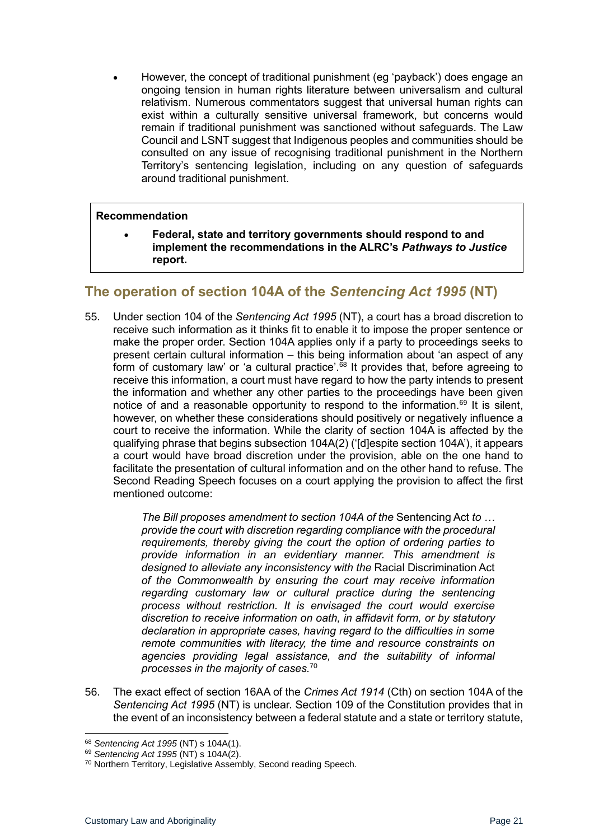• However, the concept of traditional punishment (eg 'payback') does engage an ongoing tension in human rights literature between universalism and cultural relativism. Numerous commentators suggest that universal human rights can exist within a culturally sensitive universal framework, but concerns would remain if traditional punishment was sanctioned without safeguards. The Law Council and LSNT suggest that Indigenous peoples and communities should be consulted on any issue of recognising traditional punishment in the Northern Territory's sentencing legislation, including on any question of safeguards around traditional punishment.

#### **Recommendation**

• **Federal, state and territory governments should respond to and implement the recommendations in the ALRC's** *Pathways to Justice* **report.**

## <span id="page-20-0"></span>**The operation of section 104A of the** *Sentencing Act 1995* **(NT)**

55. Under section 104 of the *Sentencing Act 1995* (NT), a court has a broad discretion to receive such information as it thinks fit to enable it to impose the proper sentence or make the proper order. Section 104A applies only if a party to proceedings seeks to present certain cultural information – this being information about 'an aspect of any form of customary law' or 'a cultural practice'.<sup>68</sup> It provides that, before agreeing to receive this information, a court must have regard to how the party intends to present the information and whether any other parties to the proceedings have been given notice of and a reasonable opportunity to respond to the information.<sup>69</sup> It is silent, however, on whether these considerations should positively or negatively influence a court to receive the information. While the clarity of section 104A is affected by the qualifying phrase that begins subsection 104A(2) ('[d]espite section 104A'), it appears a court would have broad discretion under the provision, able on the one hand to facilitate the presentation of cultural information and on the other hand to refuse. The Second Reading Speech focuses on a court applying the provision to affect the first mentioned outcome:

> *The Bill proposes amendment to section 104A of the* Sentencing Act *to … provide the court with discretion regarding compliance with the procedural requirements, thereby giving the court the option of ordering parties to provide information in an evidentiary manner. This amendment is designed to alleviate any inconsistency with the* Racial Discrimination Act *of the Commonwealth by ensuring the court may receive information regarding customary law or cultural practice during the sentencing process without restriction. It is envisaged the court would exercise discretion to receive information on oath, in affidavit form, or by statutory declaration in appropriate cases, having regard to the difficulties in some remote communities with literacy, the time and resource constraints on agencies providing legal assistance, and the suitability of informal processes in the majority of cases.* 70

56. The exact effect of section 16AA of the *Crimes Act 1914* (Cth) on section 104A of the *Sentencing Act 1995* (NT) is unclear. Section 109 of the Constitution provides that in the event of an inconsistency between a federal statute and a state or territory statute,

<sup>68</sup> *Sentencing Act 1995* (NT) s 104A(1).

<sup>69</sup> *Sentencing Act 1995* (NT) s 104A(2).

<sup>70</sup> Northern Territory, Legislative Assembly, Second reading Speech.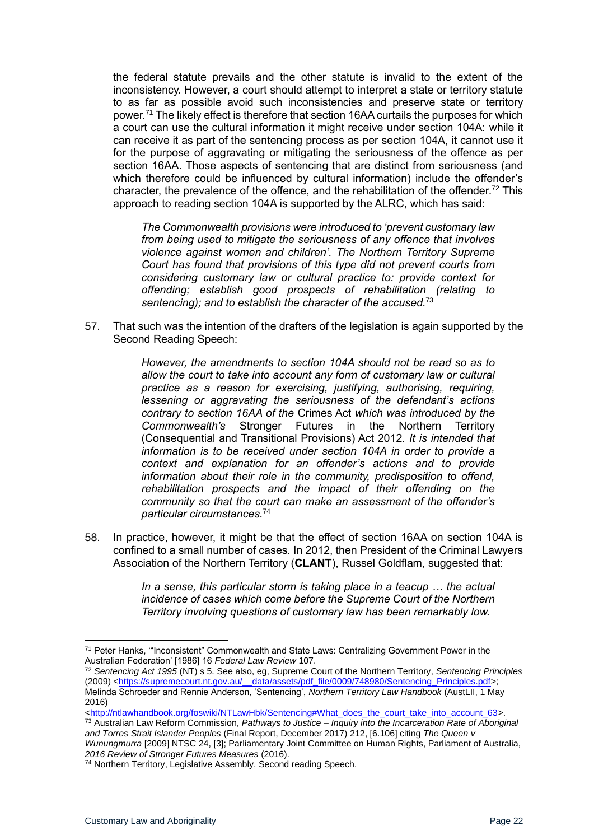the federal statute prevails and the other statute is invalid to the extent of the inconsistency. However, a court should attempt to interpret a state or territory statute to as far as possible avoid such inconsistencies and preserve state or territory power. <sup>71</sup> The likely effect is therefore that section 16AA curtails the purposes for which a court can use the cultural information it might receive under section 104A: while it can receive it as part of the sentencing process as per section 104A, it cannot use it for the purpose of aggravating or mitigating the seriousness of the offence as per section 16AA. Those aspects of sentencing that are distinct from seriousness (and which therefore could be influenced by cultural information) include the offender's character, the prevalence of the offence, and the rehabilitation of the offender.<sup>72</sup> This approach to reading section 104A is supported by the ALRC, which has said:

*The Commonwealth provisions were introduced to 'prevent customary law from being used to mitigate the seriousness of any offence that involves violence against women and children'. The Northern Territory Supreme Court has found that provisions of this type did not prevent courts from considering customary law or cultural practice to: provide context for offending; establish good prospects of rehabilitation (relating to sentencing); and to establish the character of the accused.*<sup>73</sup>

57. That such was the intention of the drafters of the legislation is again supported by the Second Reading Speech:

> *However, the amendments to section 104A should not be read so as to allow the court to take into account any form of customary law or cultural practice as a reason for exercising, justifying, authorising, requiring, lessening or aggravating the seriousness of the defendant's actions contrary to section 16AA of the* Crimes Act *which was introduced by the Commonwealth's* Stronger Futures in the Northern Territory (Consequential and Transitional Provisions) Act 2012*. It is intended that information is to be received under section 104A in order to provide a context and explanation for an offender's actions and to provide information about their role in the community, predisposition to offend, rehabilitation prospects and the impact of their offending on the community so that the court can make an assessment of the offender's particular circumstances.*<sup>74</sup>

58. In practice, however, it might be that the effect of section 16AA on section 104A is confined to a small number of cases. In 2012, then President of the Criminal Lawyers Association of the Northern Territory (**CLANT**), Russel Goldflam, suggested that:

> In a sense, this particular storm is taking place in a teacup ... the actual *incidence of cases which come before the Supreme Court of the Northern Territory involving questions of customary law has been remarkably low.*

[<http://ntlawhandbook.org/foswiki/NTLawHbk/Sentencing#What\\_does\\_the\\_court\\_take\\_into\\_account\\_63>](http://ntlawhandbook.org/foswiki/NTLawHbk/Sentencing#What_does_the_court_take_into_account_63).

<sup>73</sup> Australian Law Reform Commission, *Pathways to Justice – Inquiry into the Incarceration Rate of Aboriginal and Torres Strait Islander Peoples* (Final Report, December 2017) 212, [6.106] citing *The Queen v Wunungmurra* [2009] NTSC 24, [3]; Parliamentary Joint Committee on Human Rights, Parliament of Australia,

*2016 Review of Stronger Futures Measures* (2016).

<sup>&</sup>lt;sup>71</sup> Peter Hanks, ""Inconsistent" Commonwealth and State Laws: Centralizing Government Power in the Australian Federation' [1986] 16 *Federal Law Review* 107.

<sup>72</sup> *Sentencing Act 1995* (NT) s 5. See also, eg, Supreme Court of the Northern Territory, *Sentencing Principles* (2009) <https://supremecourt.nt.gov.au/ data/assets/pdf\_file/0009/748980/Sentencing\_Principles.pdf>; Melinda Schroeder and Rennie Anderson, 'Sentencing', *Northern Territory Law Handbook* (AustLII, 1 May 2016)

<sup>74</sup> Northern Territory, Legislative Assembly, Second reading Speech.